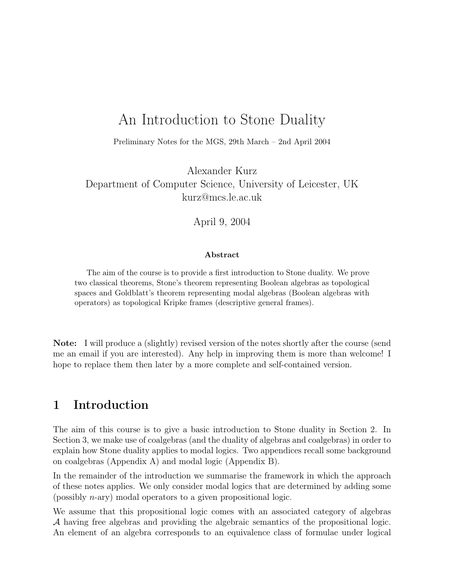# An Introduction to Stone Duality

Preliminary Notes for the MGS, 29th March – 2nd April 2004

Alexander Kurz Department of Computer Science, University of Leicester, UK kurz@mcs.le.ac.uk

April 9, 2004

#### Abstract

The aim of the course is to provide a first introduction to Stone duality. We prove two classical theorems, Stone's theorem representing Boolean algebras as topological spaces and Goldblatt's theorem representing modal algebras (Boolean algebras with operators) as topological Kripke frames (descriptive general frames).

Note: I will produce a (slightly) revised version of the notes shortly after the course (send me an email if you are interested). Any help in improving them is more than welcome! I hope to replace them then later by a more complete and self-contained version.

## 1 Introduction

The aim of this course is to give a basic introduction to Stone duality in Section 2. In Section 3, we make use of coalgebras (and the duality of algebras and coalgebras) in order to explain how Stone duality applies to modal logics. Two appendices recall some background on coalgebras (Appendix A) and modal logic (Appendix B).

In the remainder of the introduction we summarise the framework in which the approach of these notes applies. We only consider modal logics that are determined by adding some (possibly n-ary) modal operators to a given propositional logic.

We assume that this propositional logic comes with an associated category of algebras A having free algebras and providing the algebraic semantics of the propositional logic. An element of an algebra corresponds to an equivalence class of formulae under logical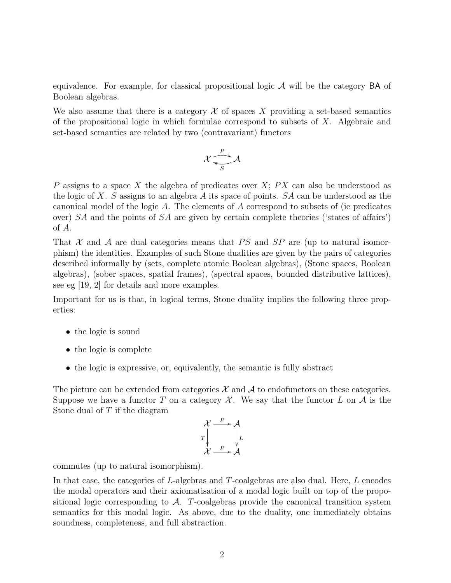equivalence. For example, for classical propositional logic  $A$  will be the category  $BA$  of Boolean algebras.

We also assume that there is a category  $\mathcal X$  of spaces X providing a set-based semantics of the propositional logic in which formulae correspond to subsets of  $X$ . Algebraic and set-based semantics are related by two (contravariant) functors

$$
\mathcal{X} \xrightarrow[S]{P} \mathcal{A}
$$

P assigns to a space X the algebra of predicates over  $X$ ;  $PX$  can also be understood as the logic of X. S assigns to an algebra A its space of points.  $SA$  can be understood as the canonical model of the logic A. The elements of A correspond to subsets of (ie predicates over) SA and the points of SA are given by certain complete theories ('states of affairs') of A.

That  $X$  and  $A$  are dual categories means that PS and SP are (up to natural isomorphism) the identities. Examples of such Stone dualities are given by the pairs of categories described informally by (sets, complete atomic Boolean algebras), (Stone spaces, Boolean algebras), (sober spaces, spatial frames), (spectral spaces, bounded distributive lattices), see eg [19, 2] for details and more examples.

Important for us is that, in logical terms, Stone duality implies the following three properties:

- the logic is sound
- the logic is complete
- the logic is expressive, or, equivalently, the semantic is fully abstract

The picture can be extended from categories  $\mathcal X$  and  $\mathcal A$  to endofunctors on these categories. Suppose we have a functor T on a category  $\mathcal{X}$ . We say that the functor L on  $\mathcal{A}$  is the Stone dual of  $T$  if the diagram

$$
\begin{array}{ccc}\n\mathcal{X} & \xrightarrow{P} & \mathcal{A} \\
T & & \downarrow L \\
\mathcal{X} & \xrightarrow{P} & \mathcal{A}\n\end{array}
$$

commutes (up to natural isomorphism).

In that case, the categories of L-algebras and T-coalgebras are also dual. Here, L encodes the modal operators and their axiomatisation of a modal logic built on top of the propositional logic corresponding to  $A$ . T-coalgebras provide the canonical transition system semantics for this modal logic. As above, due to the duality, one immediately obtains soundness, completeness, and full abstraction.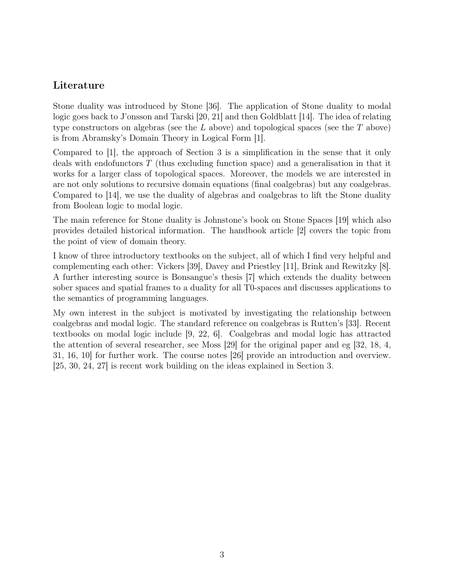### Literature

Stone duality was introduced by Stone [36]. The application of Stone duality to modal logic goes back to J'onsson and Tarski [20, 21] and then Goldblatt [14]. The idea of relating type constructors on algebras (see the  $L$  above) and topological spaces (see the  $T$  above) is from Abramsky's Domain Theory in Logical Form [1].

Compared to [1], the approach of Section 3 is a simplification in the sense that it only deals with endofunctors T (thus excluding function space) and a generalisation in that it works for a larger class of topological spaces. Moreover, the models we are interested in are not only solutions to recursive domain equations (final coalgebras) but any coalgebras. Compared to [14], we use the duality of algebras and coalgebras to lift the Stone duality from Boolean logic to modal logic.

The main reference for Stone duality is Johnstone's book on Stone Spaces [19] which also provides detailed historical information. The handbook article [2] covers the topic from the point of view of domain theory.

I know of three introductory textbooks on the subject, all of which I find very helpful and complementing each other: Vickers [39], Davey and Priestley [11], Brink and Rewitzky [8]. A further interesting source is Bonsangue's thesis [7] which extends the duality between sober spaces and spatial frames to a duality for all T0-spaces and discusses applications to the semantics of programming languages.

My own interest in the subject is motivated by investigating the relationship between coalgebras and modal logic. The standard reference on coalgebras is Rutten's [33]. Recent textbooks on modal logic include [9, 22, 6]. Coalgebras and modal logic has attracted the attention of several researcher, see Moss [29] for the original paper and eg [32, 18, 4, 31, 16, 10] for further work. The course notes [26] provide an introduction and overview. [25, 30, 24, 27] is recent work building on the ideas explained in Section 3.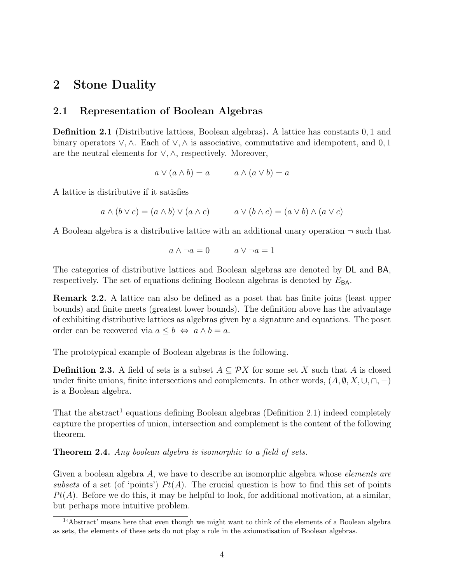## 2 Stone Duality

### 2.1 Representation of Boolean Algebras

Definition 2.1 (Distributive lattices, Boolean algebras). A lattice has constants 0, 1 and binary operators  $\vee$ ,  $\wedge$ . Each of  $\vee$ ,  $\wedge$  is associative, commutative and idempotent, and 0, 1 are the neutral elements for ∨, ∧, respectively. Moreover,

$$
a \vee (a \wedge b) = a \qquad a \wedge (a \vee b) = a
$$

A lattice is distributive if it satisfies

$$
a \wedge (b \vee c) = (a \wedge b) \vee (a \wedge c) \qquad a \vee (b \wedge c) = (a \vee b) \wedge (a \vee c)
$$

A Boolean algebra is a distributive lattice with an additional unary operation  $\neg$  such that

$$
a \wedge \neg a = 0 \qquad \qquad a \vee \neg a = 1
$$

The categories of distributive lattices and Boolean algebras are denoted by DL and BA, respectively. The set of equations defining Boolean algebras is denoted by  $E_{BA}$ .

Remark 2.2. A lattice can also be defined as a poset that has finite joins (least upper bounds) and finite meets (greatest lower bounds). The definition above has the advantage of exhibiting distributive lattices as algebras given by a signature and equations. The poset order can be recovered via  $a \leq b \Leftrightarrow a \wedge b = a$ .

The prototypical example of Boolean algebras is the following.

**Definition 2.3.** A field of sets is a subset  $A \subseteq \mathcal{P}X$  for some set X such that A is closed under finite unions, finite intersections and complements. In other words,  $(A, \emptyset, X, \cup, \cap, -)$ is a Boolean algebra.

That the abstract<sup>1</sup> equations defining Boolean algebras (Definition 2.1) indeed completely capture the properties of union, intersection and complement is the content of the following theorem.

Theorem 2.4. Any boolean algebra is isomorphic to a field of sets.

Given a boolean algebra A, we have to describe an isomorphic algebra whose *elements* are subsets of a set (of 'points')  $Pt(A)$ . The crucial question is how to find this set of points  $Pt(A)$ . Before we do this, it may be helpful to look, for additional motivation, at a similar, but perhaps more intuitive problem.

<sup>&</sup>lt;sup>1</sup>'Abstract' means here that even though we might want to think of the elements of a Boolean algebra as sets, the elements of these sets do not play a role in the axiomatisation of Boolean algebras.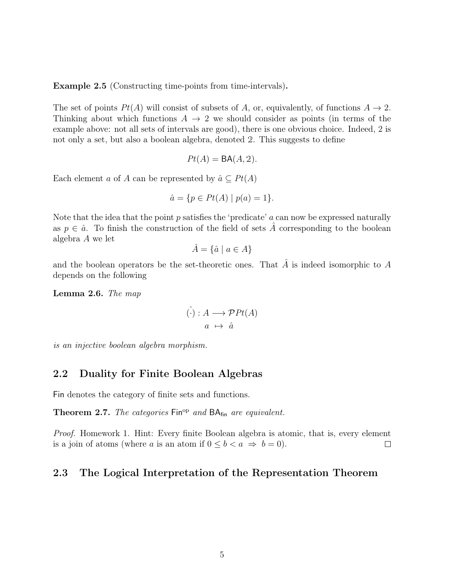Example 2.5 (Constructing time-points from time-intervals).

The set of points  $Pt(A)$  will consist of subsets of A, or, equivalently, of functions  $A \rightarrow 2$ . Thinking about which functions  $A \rightarrow 2$  we should consider as points (in terms of the example above: not all sets of intervals are good), there is one obvious choice. Indeed, 2 is not only a set, but also a boolean algebra, denoted 2. This suggests to define

$$
Pt(A) = BA(A, 2).
$$

Each element a of A can be represented by  $\hat{a} \subseteq Pt(A)$ 

$$
\hat{a} = \{ p \in Pt(A) \mid p(a) = 1 \}.
$$

Note that the idea that the point  $p$  satisfies the 'predicate'  $a$  can now be expressed naturally as  $p \in \hat{a}$ . To finish the construction of the field of sets  $\hat{A}$  corresponding to the boolean algebra A we let

$$
\hat{A} = \{\hat{a} \mid a \in A\}
$$

and the boolean operators be the set-theoretic ones. That  $A$  is indeed isomorphic to  $A$ depends on the following

Lemma 2.6. The map

$$
\hat{(\cdot)} : A \longrightarrow \mathcal{P}Pt(A)
$$

$$
a \mapsto \hat{a}
$$

is an injective boolean algebra morphism.

### 2.2 Duality for Finite Boolean Algebras

Fin denotes the category of finite sets and functions.

Theorem 2.7. The categories  $\mathsf{Fin}^{\mathrm{op}}$  and  $\mathsf{BA}_{\mathsf{fin}}$  are equivalent.

Proof. Homework 1. Hint: Every finite Boolean algebra is atomic, that is, every element is a join of atoms (where a is an atom if  $0 \leq b < a \Rightarrow b = 0$ ).  $\Box$ 

### 2.3 The Logical Interpretation of the Representation Theorem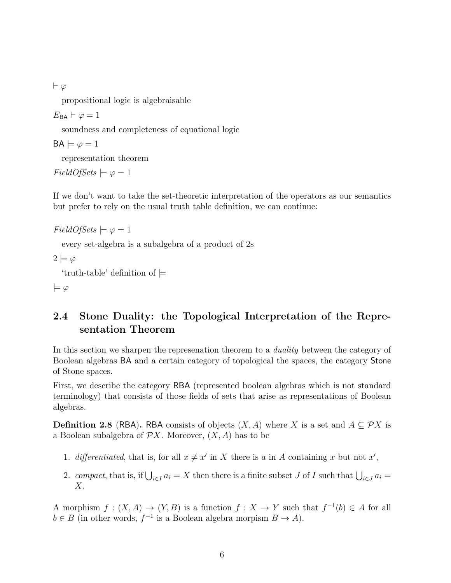$\vdash \varphi$ 

propositional logic is algebraisable

 $E_{\text{BA}} \vdash \varphi = 1$ 

soundness and completeness of equational logic

 $BA \models \varphi = 1$ 

representation theorem

 $FieldOfSets \models \varphi = 1$ 

If we don't want to take the set-theoretic interpretation of the operators as our semantics but prefer to rely on the usual truth table definition, we can continue:

```
FieldOfSets \models \varphi = 1
```
every set-algebra is a subalgebra of a product of 2s

 $2 \models \varphi$ 

'truth-table' definition of  $\models$ 

 $\models \varphi$ 

## 2.4 Stone Duality: the Topological Interpretation of the Representation Theorem

In this section we sharpen the represenation theorem to a *duality* between the category of Boolean algebras BA and a certain category of topological the spaces, the category Stone of Stone spaces.

First, we describe the category RBA (represented boolean algebras which is not standard terminology) that consists of those fields of sets that arise as representations of Boolean algebras.

**Definition 2.8** (RBA). RBA consists of objects  $(X, A)$  where X is a set and  $A \subseteq \mathcal{P}X$  is a Boolean subalgebra of  $\mathcal{P}X$ . Moreover,  $(X, A)$  has to be

- 1. differentiated, that is, for all  $x \neq x'$  in X there is a in A containing x but not x',
- 2. compact, that is, if  $\bigcup_{i\in I} a_i = X$  then there is a finite subset J of I such that  $\bigcup_{i\in J} a_i =$  $X$ .

A morphism  $f: (X, A) \to (Y, B)$  is a function  $f: X \to Y$  such that  $f^{-1}(b) \in A$  for all  $b \in B$  (in other words,  $f^{-1}$  is a Boolean algebra morpism  $B \to A$ ).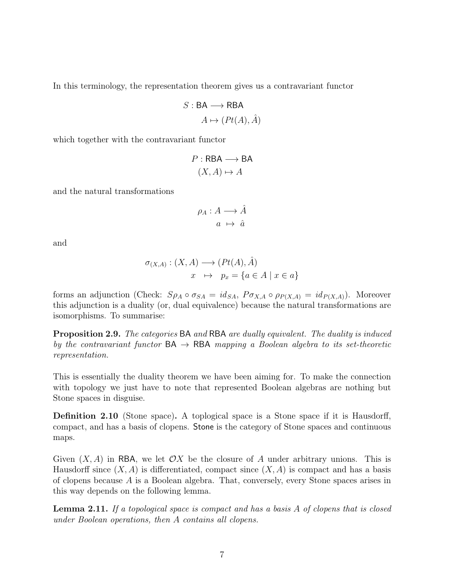In this terminology, the representation theorem gives us a contravariant functor

$$
S: \mathsf{BA} \longrightarrow \mathsf{RBA}
$$

$$
A \mapsto (Pt(A), \hat{A})
$$

which together with the contravariant functor

$$
P : \mathsf{RBA} \longrightarrow \mathsf{BA} \tag{X, A} \mapsto A
$$

and the natural transformations

$$
\rho_A: A \longrightarrow \hat{A}
$$

$$
a \mapsto \hat{a}
$$

and

$$
\sigma_{(X,A)} : (X, A) \longrightarrow (Pt(A), \hat{A})
$$
  

$$
x \mapsto p_x = \{a \in A \mid x \in a\}
$$

forms an adjunction (Check:  $S\rho_A \circ \sigma_{SA} = id_{SA}$ ,  $P\sigma_{X,A} \circ \rho_{P(X,A)} = id_{P(X,A)}$ ). Moreover this adjunction is a duality (or, dual equivalence) because the natural transformations are isomorphisms. To summarise:

**Proposition 2.9.** The categories BA and RBA are dually equivalent. The duality is induced by the contravariant functor  $BA \rightarrow RBA$  mapping a Boolean algebra to its set-theoretic representation.

This is essentially the duality theorem we have been aiming for. To make the connection with topology we just have to note that represented Boolean algebras are nothing but Stone spaces in disguise.

Definition 2.10 (Stone space). A toplogical space is a Stone space if it is Hausdorff, compact, and has a basis of clopens. Stone is the category of Stone spaces and continuous maps.

Given  $(X, A)$  in RBA, we let  $\mathcal{O}X$  be the closure of A under arbitrary unions. This is Hausdorff since  $(X, A)$  is differentiated, compact since  $(X, A)$  is compact and has a basis of clopens because A is a Boolean algebra. That, conversely, every Stone spaces arises in this way depends on the following lemma.

Lemma 2.11. If a topological space is compact and has a basis A of clopens that is closed under Boolean operations, then A contains all clopens.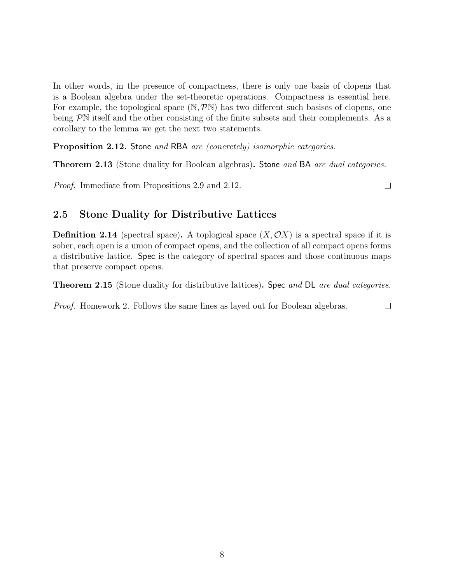In other words, in the presence of compactness, there is only one basis of clopens that is a Boolean algebra under the set-theoretic operations. Compactness is essential here. For example, the topological space  $(N, \mathcal{P}N)$  has two different such basises of clopens, one being PN itself and the other consisting of the finite subsets and their complements. As a corollary to the lemma we get the next two statements.

Proposition 2.12. Stone and RBA are (concretely) isomorphic categories.

**Theorem 2.13** (Stone duality for Boolean algebras). Stone and BA are dual categories.

Proof. Immediate from Propositions 2.9 and 2.12.

 $\Box$ 

 $\Box$ 

### 2.5 Stone Duality for Distributive Lattices

**Definition 2.14** (spectral space). A toplogical space  $(X, \mathcal{O}X)$  is a spectral space if it is sober, each open is a union of compact opens, and the collection of all compact opens forms a distributive lattice. Spec is the category of spectral spaces and those continuous maps that preserve compact opens.

**Theorem 2.15** (Stone duality for distributive lattices). Spec and DL are dual categories.

Proof. Homework 2. Follows the same lines as layed out for Boolean algebras.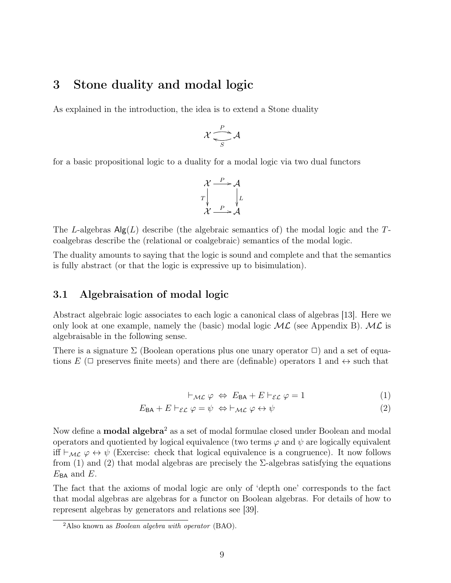## 3 Stone duality and modal logic

As explained in the introduction, the idea is to extend a Stone duality

$$
\mathcal{X} \xrightarrow[S]{P} \mathcal{A}
$$

for a basic propositional logic to a duality for a modal logic via two dual functors

$$
\mathcal{X} \xrightarrow{P} \mathcal{A}
$$
\n
$$
T \downarrow \qquad \qquad \downarrow L
$$
\n
$$
\mathcal{X} \xrightarrow{P} \mathcal{A}
$$

The L-algebras  $\mathsf{Alg}(L)$  describe (the algebraic semantics of) the modal logic and the Tcoalgebras describe the (relational or coalgebraic) semantics of the modal logic.

The duality amounts to saying that the logic is sound and complete and that the semantics is fully abstract (or that the logic is expressive up to bisimulation).

### 3.1 Algebraisation of modal logic

Abstract algebraic logic associates to each logic a canonical class of algebras [13]. Here we only look at one example, namely the (basic) modal logic  $ML$  (see Appendix B).  $ML$  is algebraisable in the following sense.

There is a signature  $\Sigma$  (Boolean operations plus one unary operator  $\square$ ) and a set of equations E ( $\Box$  preserves finite meets) and there are (definable) operators 1 and  $\leftrightarrow$  such that

$$
\vdash_{\mathcal{ML}} \varphi \Leftrightarrow E_{\mathsf{BA}} + E \vdash_{\mathcal{EL}} \varphi = 1 \tag{1}
$$

$$
E_{\text{BA}} + E \vdash_{\mathcal{EL}} \varphi = \psi \Leftrightarrow \vdash_{\mathcal{ML}} \varphi \leftrightarrow \psi \tag{2}
$$

Now define a **modal algebra**<sup>2</sup> as a set of modal formulae closed under Boolean and modal operators and quotiented by logical equivalence (two terms  $\varphi$  and  $\psi$  are logically equivalent iff  $\vdash_{ML} \varphi \leftrightarrow \psi$  (Exercise: check that logical equivalence is a congruence). It now follows from (1) and (2) that modal algebras are precisely the  $\Sigma$ -algebras satisfying the equations  $E_{BA}$  and  $E$ .

The fact that the axioms of modal logic are only of 'depth one' corresponds to the fact that modal algebras are algebras for a functor on Boolean algebras. For details of how to represent algebras by generators and relations see [39].

 $2$ Also known as *Boolean algebra with operator* (BAO).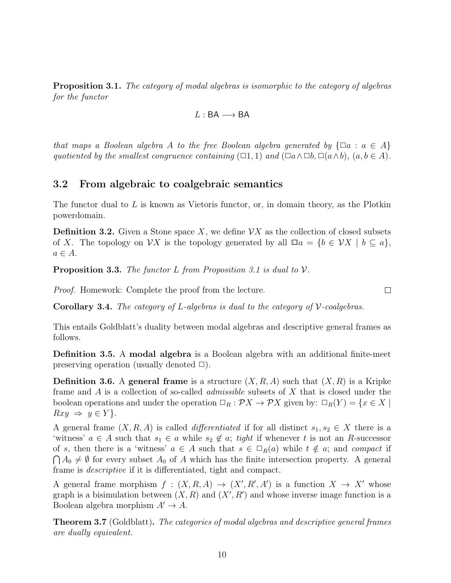Proposition 3.1. The category of modal algebras is isomorphic to the category of algebras for the functor

$$
L:\mathsf{BA}\longrightarrow \mathsf{BA}
$$

that maps a Boolean algebra A to the free Boolean algebra generated by  $\{\Box a : a \in A\}$ quotiented by the smallest congruence containing  $(\Box 1, 1)$  and  $(\Box a \land \Box b, \Box (a \land b), (a, b \in A)$ .

#### 3.2 From algebraic to coalgebraic semantics

The functor dual to  $L$  is known as Vietoris functor, or, in domain theory, as the Plotkin powerdomain.

**Definition 3.2.** Given a Stone space X, we define  $\mathcal{V}X$  as the collection of closed subsets of X. The topology on  $\mathcal{V}X$  is the topology generated by all  $\Box a = \{b \in \mathcal{V}X \mid b \subseteq a\},\$  $a \in A$ .

**Proposition 3.3.** The functor L from Proposition 3.1 is dual to  $V$ .

Proof. Homework: Complete the proof from the lecture.

**Corollary 3.4.** The category of L-algebras is dual to the category of  $V$ -coalgebras.

This entails Goldblatt's duality between modal algebras and descriptive general frames as follows.

Definition 3.5. A modal algebra is a Boolean algebra with an additional finite-meet preserving operation (usually denoted  $\Box$ ).

**Definition 3.6.** A general frame is a structure  $(X, R, A)$  such that  $(X, R)$  is a Kripke frame and A is a collection of so-called admissible subsets of X that is closed under the boolean operations and under the operation  $\Box_R : \mathcal{P} X \to \mathcal{P} X$  given by:  $\Box_R(Y) = \{x \in X \mid$  $Rxy \Rightarrow y \in Y$ .

A general frame  $(X, R, A)$  is called *differentiated* if for all distinct  $s_1, s_2 \in X$  there is a 'witness'  $a \in A$  such that  $s_1 \in a$  while  $s_2 \notin a$ ; tight if whenever t is not an R-successor of s, then there is a 'witness'  $a \in A$  such that  $s \in \Box_R(a)$  while  $t \notin a$ ; and compact if  $\bigcap A_0 \neq \emptyset$  for every subset  $A_0$  of A which has the finite intersection property. A general frame is descriptive if it is differentiated, tight and compact.

A general frame morphism  $f : (X, R, A) \to (X', R', A')$  is a function  $X \to X'$  whose graph is a bisimulation between  $(X, R)$  and  $(X', R')$  and whose inverse image function is a Boolean algebra morphism  $A' \rightarrow A$ .

**Theorem 3.7** (Goldblatt). The categories of modal algebras and descriptive general frames are dually equivalent.

 $\Box$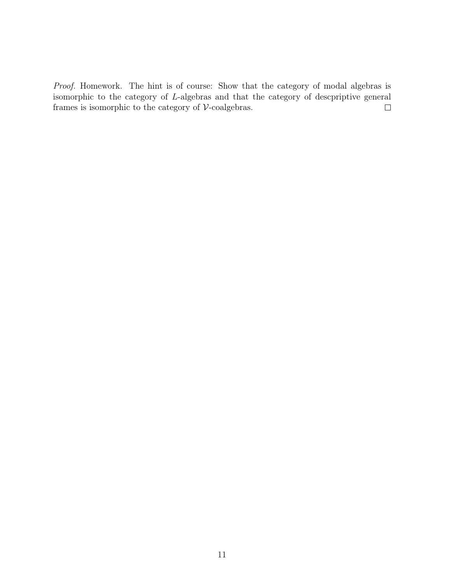Proof. Homework. The hint is of course: Show that the category of modal algebras is isomorphic to the category of L-algebras and that the category of descpriptive general frames is isomorphic to the category of  $\mathcal V\text{-coalgebras}.$  $\Box$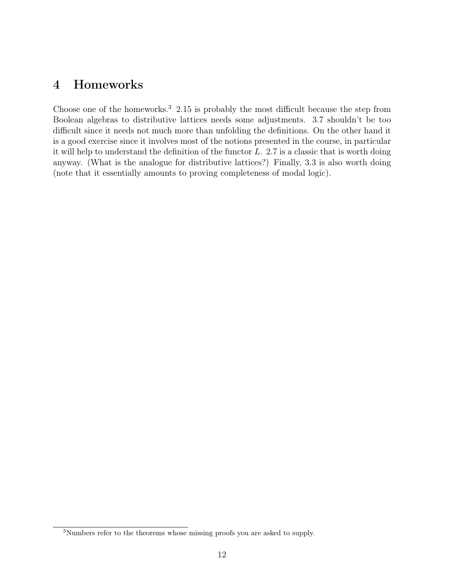## 4 Homeworks

Choose one of the homeworks.<sup>3</sup> 2.15 is probably the most difficult because the step from Boolean algebras to distributive lattices needs some adjustments. 3.7 shouldn't be too difficult since it needs not much more than unfolding the definitions. On the other hand it is a good exercise since it involves most of the notions presented in the course, in particular it will help to understand the definition of the functor L. 2.7 is a classic that is worth doing anyway. (What is the analogue for distributive lattices?) Finally, 3.3 is also worth doing (note that it essentially amounts to proving completeness of modal logic).

<sup>3</sup>Numbers refer to the theorems whose missing proofs you are asked to supply.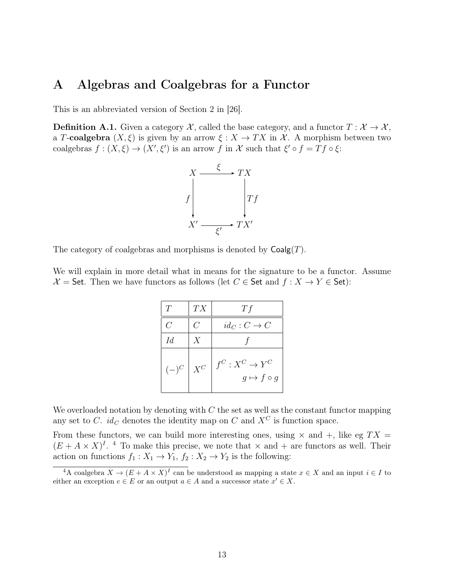## A Algebras and Coalgebras for a Functor

This is an abbreviated version of Section 2 in [26].

**Definition A.1.** Given a category  $\mathcal{X}$ , called the base category, and a functor  $T : \mathcal{X} \to \mathcal{X}$ , a T-coalgebra  $(X, \xi)$  is given by an arrow  $\xi : X \to TX$  in X. A morphism between two coalgebras  $f: (X, \xi) \to (X', \xi')$  is an arrow f in X such that  $\xi' \circ f = Tf \circ \xi$ :



The category of coalgebras and morphisms is denoted by  $Coalg(T)$ .

We will explain in more detail what in means for the signature to be a functor. Assume  $\mathcal{X} =$  Set. Then we have functors as follows (let  $C \in$  Set and  $f : X \to Y \in$  Set):

| Ŧ       | TX               | Тf                                          |
|---------|------------------|---------------------------------------------|
| C       | C                | $id_C: C \to C$                             |
| Id      | $\boldsymbol{X}$ |                                             |
| $(-)^C$ | $\mathcal{X}^C$  | $f^C: X^C \to Y^C$<br>$g \mapsto f \circ g$ |

We overloaded notation by denoting with  $C$  the set as well as the constant functor mapping any set to C.  $id_C$  denotes the identity map on C and  $X^C$  is function space.

From these functors, we can build more interesting ones, using  $\times$  and  $+$ , like eg  $TX =$  $(E + A \times X)^{I}$ . <sup>4</sup> To make this precise, we note that  $\times$  and  $+$  are functors as well. Their action on functions  $f_1 : X_1 \to Y_1, f_2 : X_2 \to Y_2$  is the following:

<sup>&</sup>lt;sup>4</sup>A coalgebra  $X \to (E + A \times X)^{I}$  can be understood as mapping a state  $x \in X$  and an input  $i \in I$  to either an exception  $e \in E$  or an output  $a \in A$  and a successor state  $x' \in X$ .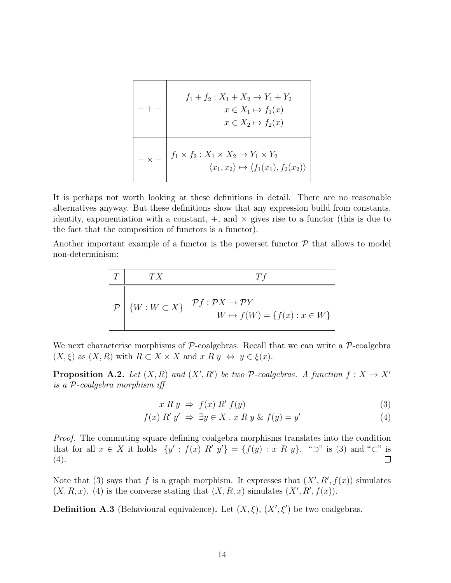$$
f_1 + f_2: X_1 + X_2 \to Y_1 + Y_2
$$
  
\n
$$
x \in X_1 \mapsto f_1(x)
$$
  
\n
$$
x \in X_2 \mapsto f_2(x)
$$
  
\n
$$
-\times - \left| f_1 \times f_2: X_1 \times X_2 \to Y_1 \times Y_2 \right|
$$
  
\n
$$
\langle x_1, x_2 \rangle \mapsto \langle f_1(x_1), f_2(x_2) \rangle
$$

It is perhaps not worth looking at these definitions in detail. There are no reasonable alternatives anyway. But these definitions show that any expression build from constants, identity, exponentiation with a constant,  $+$ , and  $\times$  gives rise to a functor (this is due to the fact that the composition of functors is a functor).

Another important example of a functor is the powerset functor  $P$  that allows to model non-determinism:

| T                                 | $TX$                  | $Tf$                                           |
|-----------------------------------|-----------------------|------------------------------------------------|
| $P$                               | $\{W : W \subset X\}$ | $\mathcal{P}f : \mathcal{P}X \to \mathcal{P}Y$ |
| $W \to f(W) = \{f(x) : x \in W\}$ |                       |                                                |

We next characterise morphisms of  $P$ -coalgebras. Recall that we can write a  $P$ -coalgebra  $(X, \xi)$  as  $(X, R)$  with  $R \subset X \times X$  and  $x R y \Leftrightarrow y \in \xi(x)$ .

**Proposition A.2.** Let  $(X, R)$  and  $(X', R')$  be two P-coalgebras. A function  $f : X \to X'$ is a P-coalgebra morphism iff

$$
x R y \Rightarrow f(x) R' f(y) \tag{3}
$$

$$
f(x) R' y' \Rightarrow \exists y \in X \, . \, x \, R \, y \, \& \, f(y) = y'
$$
\n
$$
\tag{4}
$$

Proof. The commuting square defining coalgebra morphisms translates into the condition that for all  $x \in X$  it holds  $\{y' : f(x) \notin X' \mid y'\} = \{f(y) : x \notin Y\}$ . "⊃" is (3) and "⊂" is  $(4).$  $\Box$ 

Note that (3) says that f is a graph morphism. It expresses that  $(X', R', f(x))$  simulates  $(X, R, x)$ . (4) is the converse stating that  $(X, R, x)$  simulates  $(X', R', f(x))$ .

**Definition A.3** (Behavioural equivalence). Let  $(X, \xi)$ ,  $(X', \xi')$  be two coalgebras.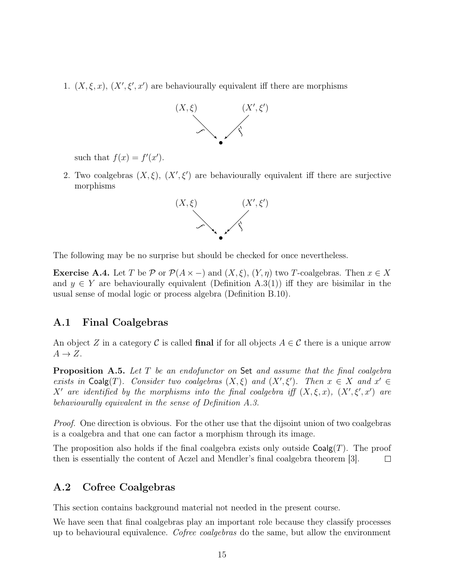1.  $(X, \xi, x)$ ,  $(X', \xi', x')$  are behaviourally equivalent iff there are morphisms



such that  $f(x) = f'(x')$ .

2. Two coalgebras  $(X, \xi)$ ,  $(X', \xi')$  are behaviourally equivalent iff there are surjective morphisms



The following may be no surprise but should be checked for once nevertheless.

**Exercise A.4.** Let T be P or  $\mathcal{P}(A \times -)$  and  $(X, \xi)$ ,  $(Y, \eta)$  two T-coalgebras. Then  $x \in X$ and  $y \in Y$  are behaviourally equivalent (Definition A.3(1)) iff they are bisimilar in the usual sense of modal logic or process algebra (Definition B.10).

#### A.1 Final Coalgebras

An object Z in a category C is called final if for all objects  $A \in \mathcal{C}$  there is a unique arrow  $A \rightarrow Z$ .

**Proposition A.5.** Let  $T$  be an endofunctor on Set and assume that the final coalgebra exists in Coalg(T). Consider two coalgebras  $(X, \xi)$  and  $(X', \xi')$ . Then  $x \in X$  and  $x' \in$ X' are identified by the morphisms into the final coalgebra iff  $(X,\xi,x)$ ,  $(X',\xi',x')$  are behaviourally equivalent in the sense of Definition A.3.

*Proof.* One direction is obvious. For the other use that the dijsoint union of two coalgebras is a coalgebra and that one can factor a morphism through its image.

The proposition also holds if the final coalgebra exists only outside  $Coalg(T)$ . The proof then is essentially the content of Aczel and Mendler's final coalgebra theorem [3].  $\Box$ 

### A.2 Cofree Coalgebras

This section contains background material not needed in the present course.

We have seen that final coalgebras play an important role because they classify processes up to behavioural equivalence. Cofree coalgebras do the same, but allow the environment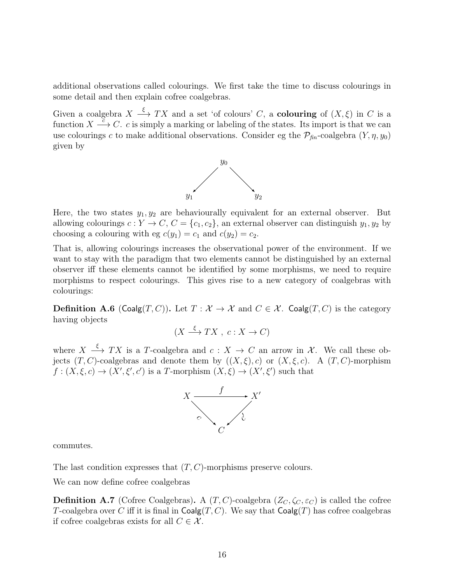additional observations called colourings. We first take the time to discuss colourings in some detail and then explain cofree coalgebras.

Given a coalgebra  $X \stackrel{\xi}{\longrightarrow} TX$  and a set 'of colours' C, a **colouring** of  $(X,\xi)$  in C is a function  $X \stackrel{\sim}{\longrightarrow} C$ . c is simply a marking or labeling of the states. Its import is that we can use colourings c to make additional observations. Consider eg the  $\mathcal{P}_{fin}$ -coalgebra  $(Y, \eta, y_0)$ given by



Here, the two states  $y_1, y_2$  are behaviourally equivalent for an external observer. But allowing colourings  $c: Y \to C$ ,  $C = \{c_1, c_2\}$ , an external observer can distinguish  $y_1, y_2$  by choosing a colouring with eg  $c(y_1) = c_1$  and  $c(y_2) = c_2$ .

That is, allowing colourings increases the observational power of the environment. If we want to stay with the paradigm that two elements cannot be distinguished by an external observer iff these elements cannot be identified by some morphisms, we need to require morphisms to respect colourings. This gives rise to a new category of coalgebras with colourings:

**Definition A.6** (Coalg $(T, C)$ ). Let  $T : \mathcal{X} \to \mathcal{X}$  and  $C \in \mathcal{X}$ . Coalg $(T, C)$  is the category having objects

$$
(X \xrightarrow{\xi} TX, c: X \to C)
$$

where  $X \stackrel{\xi}{\longrightarrow} TX$  is a T-coalgebra and  $c: X \to C$  an arrow in X. We call these objects  $(T, C)$ -coalgebras and denote them by  $((X, \xi), c)$  or  $(X, \xi, c)$ . A  $(T, C)$ -morphism  $f:(X,\xi,c)\to (X',\xi',c')$  is a T-morphism  $(X,\xi)\to (X',\xi')$  such that



commutes.

The last condition expresses that  $(T, C)$ -morphisms preserve colours.

We can now define cofree coalgebras

**Definition A.7** (Cofree Coalgebras). A  $(T, C)$ -coalgebra  $(Z_C, \zeta_C, \varepsilon_C)$  is called the cofree T-coalgebra over C iff it is final in  $\mathsf{Coalg}(T, C)$ . We say that  $\mathsf{Coalg}(T)$  has cofree coalgebras if cofree coalgebras exists for all  $C \in \mathcal{X}$ .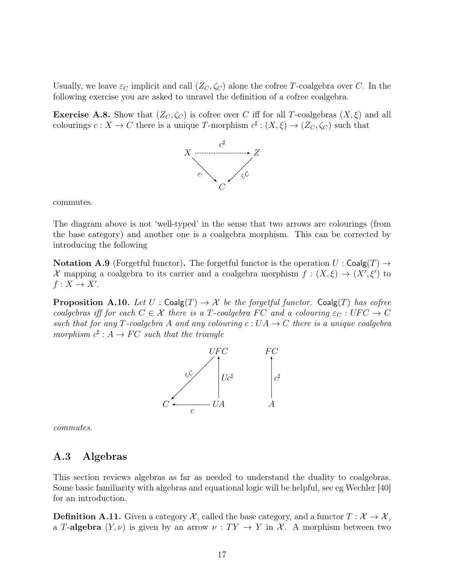Usually, we leave  $\varepsilon_C$  implicit and call  $(Z_C, \zeta_C)$  alone the cofree T-coalgebra over C. In the following exercise you are asked to unravel the definition of a cofree coalgebra.

**Exercise A.8.** Show that  $(Z_C, \zeta_C)$  is cofree over C iff for all T-coalgebras  $(X, \xi)$  and all colourings  $c: X \to C$  there is a unique T-morphism  $c^{\sharp}: (X, \xi) \to (Z_C, \zeta_C)$  such that



commutes.

The diagram above is not 'well-typed' in the sense that two arrows are colourings (from the base category) and another one is a coalgebra morphism. This can be corrected by introducing the following

**Notation A.9** (Forgetful functor). The forgetful functor is the operation  $U : \mathsf{Coalg}(T) \to$ X mapping a coalgebra to its carrier and a coalgebra morphism  $f: (X, \xi) \to (X', \xi')$  to  $f: X \to X'.$ 

**Proposition A.10.** Let  $U : \mathsf{Coalg}(T) \to \mathcal{X}$  be the forgetful functor.  $\mathsf{Coalg}(T)$  has cofree coalgebras iff for each  $C \in \mathcal{X}$  there is a T-coalgebra FC and a colouring  $\varepsilon_C : UFC \to C$ such that for any T-coalgebra A and any colouring  $c: UA \to C$  there is a unique coalgebra morphism  $c^{\sharp}: A \to FC$  such that the triangle



commutes.

### A.3 Algebras

This section reviews algebras as far as needed to understand the duality to coalgebras. Some basic familiarity with algebras and equational logic will be helpful, see eg Wechler [40] for an introduction.

**Definition A.11.** Given a category  $\mathcal{X}$ , called the base category, and a functor  $T : \mathcal{X} \to \mathcal{X}$ , a T-algebra  $(Y, \nu)$  is given by an arrow  $\nu : TY \to Y$  in X. A morphism between two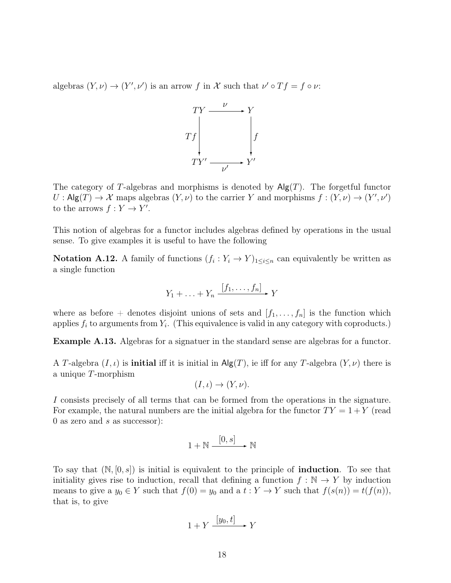algebras  $(Y, \nu) \to (Y', \nu')$  is an arrow f in X such that  $\nu' \circ Tf = f \circ \nu$ .



The category of T-algebras and morphisms is denoted by  $\mathsf{Alg}(T)$ . The forgetful functor  $U: \mathsf{Alg}(T) \to \mathcal{X}$  maps algebras  $(Y, \nu)$  to the carrier Y and morphisms  $f: (Y, \nu) \to (Y', \nu')$ to the arrows  $f: Y \to Y'$ .

This notion of algebras for a functor includes algebras defined by operations in the usual sense. To give examples it is useful to have the following

**Notation A.12.** A family of functions  $(f_i: Y_i \to Y)_{1 \leq i \leq n}$  can equivalently be written as a single function

$$
Y_1 + \ldots + Y_n \xrightarrow{[f_1, \ldots, f_n]} Y
$$

where as before + denotes disjoint unions of sets and  $[f_1, \ldots, f_n]$  is the function which applies  $f_i$  to arguments from  $Y_i$ . (This equivalence is valid in any category with coproducts.)

Example A.13. Algebras for a signatuer in the standard sense are algebras for a functor.

A T-algebra  $(I, \iota)$  is **initial** iff it is initial in  $\mathsf{Alg}(T)$ , ie iff for any T-algebra  $(Y, \nu)$  there is a unique T-morphism

$$
(I,\iota)\to (Y,\nu).
$$

I consists precisely of all terms that can be formed from the operations in the signature. For example, the natural numbers are the initial algebra for the functor  $TY = 1 + Y$  (read 0 as zero and  $s$  as successor):

$$
1 + \mathbb{N} \xrightarrow{\left[0, s\right]} \mathbb{N}
$$

To say that  $(N, [0, s])$  is initial is equivalent to the principle of **induction**. To see that initiality gives rise to induction, recall that defining a function  $f : \mathbb{N} \to Y$  by induction means to give a  $y_0 \in Y$  such that  $f(0) = y_0$  and a  $t : Y \to Y$  such that  $f(s(n)) = t(f(n)),$ that is, to give

$$
1 + Y \xrightarrow{[y_0, t]} Y
$$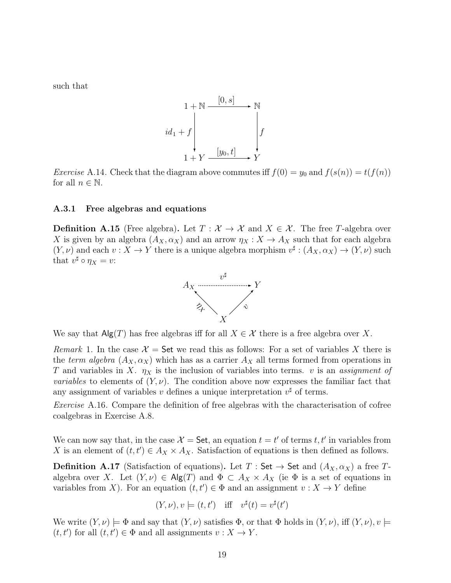such that

$$
id_1 + \mathbb{N} \xrightarrow{\begin{bmatrix} [0,s] \\ \vdots \\ [0,1] \end{bmatrix}} \mathbb{N}
$$
  

$$
id_1 + f \downarrow \qquad \qquad \downarrow f
$$
  

$$
1 + Y \xrightarrow{\begin{bmatrix} [y_0,t] \\ \vdots \\ [y_n,t] \end{bmatrix}} Y
$$

*Exercise* A.14. Check that the diagram above commutes iff  $f(0) = y_0$  and  $f(s(n)) = t(f(n))$ for all  $n \in \mathbb{N}$ .

#### A.3.1 Free algebras and equations

**Definition A.15** (Free algebra). Let  $T : \mathcal{X} \to \mathcal{X}$  and  $X \in \mathcal{X}$ . The free T-algebra over X is given by an algebra  $(A_X, \alpha_X)$  and an arrow  $\eta_X : X \to A_X$  such that for each algebra  $(Y, \nu)$  and each  $v: X \to Y$  there is a unique algebra morphism  $v^{\sharp}: (A_X, \alpha_X) \to (Y, \nu)$  such that  $v^{\sharp} \circ \eta_X = v$ :



We say that  $\mathsf{Alg}(T)$  has free algebras iff for all  $X \in \mathcal{X}$  there is a free algebra over X.

Remark 1. In the case  $\mathcal{X} =$  Set we read this as follows: For a set of variables X there is the term algebra  $(A_X, \alpha_X)$  which has as a carrier  $A_X$  all terms formed from operations in T and variables in X.  $\eta_X$  is the inclusion of variables into terms. v is an assignment of *variables* to elements of  $(Y, \nu)$ . The condition above now expresses the familiar fact that any assignment of variables v defines a unique interpretation  $v^{\sharp}$  of terms.

Exercise A.16. Compare the definition of free algebras with the characterisation of cofree coalgebras in Exercise A.8.

We can now say that, in the case  $\mathcal{X} = \mathsf{Set}$ , an equation  $t = t'$  of terms t, t' in variables from X is an element of  $(t, t') \in A_X \times A_X$ . Satisfaction of equations is then defined as follows.

**Definition A.17** (Satisfaction of equations). Let  $T : Set \rightarrow Set$  and  $(A_X, \alpha_X)$  a free  $T$ algebra over X. Let  $(Y, \nu) \in \mathsf{Alg}(T)$  and  $\Phi \subset A_X \times A_X$  (ie  $\Phi$  is a set of equations in variables from X). For an equation  $(t, t') \in \Phi$  and an assignment  $v : X \to Y$  define

$$
(Y, \nu), v \models (t, t') \text{ iff } v^{\sharp}(t) = v^{\sharp}(t')
$$

We write  $(Y, \nu) \models \Phi$  and say that  $(Y, \nu)$  satisfies  $\Phi$ , or that  $\Phi$  holds in  $(Y, \nu)$ , iff  $(Y, \nu), v \models$  $(t, t')$  for all  $(t, t') \in \Phi$  and all assignments  $v : X \to Y$ .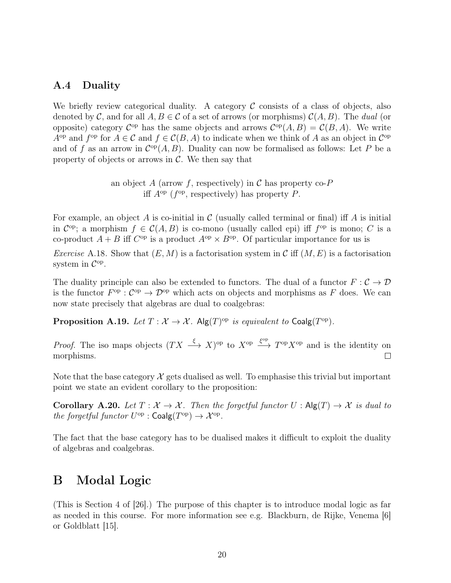### A.4 Duality

We briefly review categorical duality. A category  $\mathcal C$  consists of a class of objects, also denoted by C, and for all  $A, B \in \mathcal{C}$  of a set of arrows (or morphisms)  $\mathcal{C}(A, B)$ . The dual (or opposite) category  $\mathcal{C}^{\text{op}}$  has the same objects and arrows  $\mathcal{C}^{\text{op}}(A, B) = \mathcal{C}(B, A)$ . We write  $A^{\rm op}$  and  $f^{\rm op}$  for  $A \in \mathcal{C}$  and  $f \in \mathcal{C}(B, A)$  to indicate when we think of A as an object in  $\mathcal{C}^{\rm op}$ and of f as an arrow in  $C^{op}(A, B)$ . Duality can now be formalised as follows: Let P be a property of objects or arrows in  $\mathcal{C}$ . We then say that

> an object A (arrow f, respectively) in C has property co- $P$ iff  $A^{\rm op}$  ( $f^{\rm op}$ , respectively) has property P.

For example, an object A is co-initial in  $\mathcal C$  (usually called terminal or final) iff A is initial in  $\mathcal{C}^{\text{op}}$ ; a morphism  $f \in \mathcal{C}(A, B)$  is co-mono (usually called epi) iff  $f^{\text{op}}$  is mono; C is a co-product  $A + B$  iff  $C^{op}$  is a product  $A^{op} \times B^{op}$ . Of particular importance for us is

*Exercise* A.18. Show that  $(E, M)$  is a factorisation system in C iff  $(M, E)$  is a factorisation system in  $\mathcal{C}^{\mathrm{op}}$ .

The duality principle can also be extended to functors. The dual of a functor  $F : \mathcal{C} \to \mathcal{D}$ is the functor  $F^{\rm op}: C^{\rm op} \to \mathcal{D}^{\rm op}$  which acts on objects and morphisms as F does. We can now state precisely that algebras are dual to coalgebras:

**Proposition A.19.** Let  $T : \mathcal{X} \to \mathcal{X}$ . Alg $(T)^{\text{op}}$  is equivalent to Coalg $(T^{\text{op}})$ .

*Proof.* The iso maps objects  $(TX \xrightarrow{\xi} X)^{op}$  to  $X^{op} \xrightarrow{\xi^{op}} T^{op} X^{op}$  and is the identity on morphisms.  $\Box$ 

Note that the base category  $\mathcal X$  gets dualised as well. To emphasise this trivial but important point we state an evident corollary to the proposition:

Corollary A.20. Let  $T : \mathcal{X} \to \mathcal{X}$ . Then the forgetful functor  $U : \mathsf{Alg}(T) \to \mathcal{X}$  is dual to the forgetful functor  $U^{\text{op}}$  :  $\text{Coalg}(T^{\text{op}}) \to \mathcal{X}^{\text{op}}$ .

The fact that the base category has to be dualised makes it difficult to exploit the duality of algebras and coalgebras.

## B Modal Logic

(This is Section 4 of [26].) The purpose of this chapter is to introduce modal logic as far as needed in this course. For more information see e.g. Blackburn, de Rijke, Venema [6] or Goldblatt [15].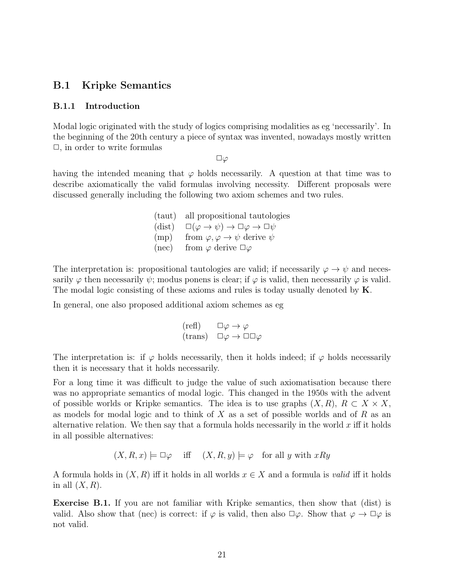#### B.1 Kripke Semantics

#### B.1.1 Introduction

Modal logic originated with the study of logics comprising modalities as eg 'necessarily'. In the beginning of the 20th century a piece of syntax was invented, nowadays mostly written  $\Box$ , in order to write formulas

 $\square\varphi$ 

having the intended meaning that  $\varphi$  holds necessarily. A question at that time was to describe axiomatically the valid formulas involving necessity. Different proposals were discussed generally including the following two axiom schemes and two rules.

> (taut) all propositional tautologies (dist)  $\square(\varphi \to \psi) \to \square \varphi \to \square \psi$  $(\text{mp})$  from  $\varphi, \varphi \to \psi$  derive  $\psi$ (nec) from  $\varphi$  derive  $\Box \varphi$

The interpretation is: propositional tautologies are valid; if necessarily  $\varphi \to \psi$  and necessarily  $\varphi$  then necessarily  $\psi$ ; modus ponens is clear; if  $\varphi$  is valid, then necessarily  $\varphi$  is valid. The modal logic consisting of these axioms and rules is today usually denoted by K.

In general, one also proposed additional axiom schemes as eg

$$
\begin{array}{ll}\n(\text{refl}) & \Box \varphi \to \varphi \\
(\text{trans}) & \Box \varphi \to \Box \Box \varphi\n\end{array}
$$

The interpretation is: if  $\varphi$  holds necessarily, then it holds indeed; if  $\varphi$  holds necessarily then it is necessary that it holds necessarily.

For a long time it was difficult to judge the value of such axiomatisation because there was no appropriate semantics of modal logic. This changed in the 1950s with the advent of possible worlds or Kripke semantics. The idea is to use graphs  $(X, R)$ ,  $R \subset X \times X$ , as models for modal logic and to think of  $X$  as a set of possible worlds and of  $R$  as an alternative relation. We then say that a formula holds necessarily in the world  $x$  iff it holds in all possible alternatives:

$$
(X, R, x) \models \Box \varphi
$$
 iff  $(X, R, y) \models \varphi$  for all y with xRy

A formula holds in  $(X, R)$  iff it holds in all worlds  $x \in X$  and a formula is valid iff it holds in all  $(X, R)$ .

Exercise B.1. If you are not familiar with Kripke semantics, then show that (dist) is valid. Also show that (nec) is correct: if  $\varphi$  is valid, then also  $\Box \varphi$ . Show that  $\varphi \to \Box \varphi$  is not valid.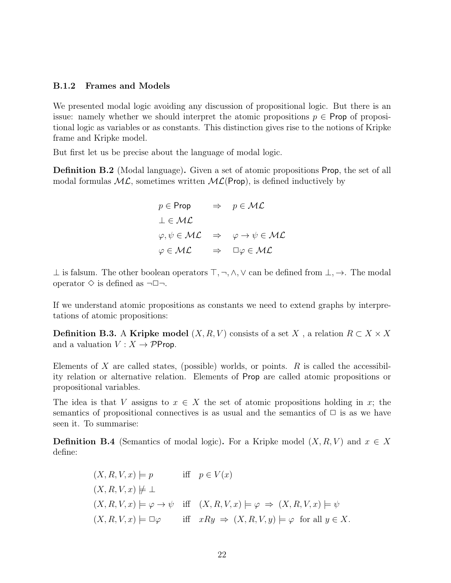#### B.1.2 Frames and Models

We presented modal logic avoiding any discussion of propositional logic. But there is an issue: namely whether we should interpret the atomic propositions  $p \in \text{Prop of proposi-}$ tional logic as variables or as constants. This distinction gives rise to the notions of Kripke frame and Kripke model.

But first let us be precise about the language of modal logic.

Definition B.2 (Modal language). Given a set of atomic propositions Prop, the set of all modal formulas  $ML$ , sometimes written  $ML(Prop)$ , is defined inductively by

$$
p \in \text{Prop} \quad \Rightarrow \quad p \in \mathcal{ML}
$$
  
\n
$$
\perp \in \mathcal{ML}
$$
  
\n
$$
\varphi, \psi \in \mathcal{ML} \quad \Rightarrow \quad \varphi \to \psi \in \mathcal{ML}
$$
  
\n
$$
\varphi \in \mathcal{ML} \quad \Rightarrow \quad \square \varphi \in \mathcal{ML}
$$

⊥ is falsum. The other boolean operators  $\top, \neg, \wedge, \vee$  can be defined from  $\bot, \rightarrow$ . The modal operator  $\diamond$  is defined as  $\neg \Box \neg$ .

If we understand atomic propositions as constants we need to extend graphs by interpretations of atomic propositions:

**Definition B.3.** A Kripke model  $(X, R, V)$  consists of a set X, a relation  $R \subset X \times X$ and a valuation  $V : X \rightarrow \mathcal{P}$ Prop.

Elements of X are called states, (possible) worlds, or points.  $R$  is called the accessibility relation or alternative relation. Elements of Prop are called atomic propositions or propositional variables.

The idea is that V assigns to  $x \in X$  the set of atomic propositions holding in x; the semantics of propositional connectives is as usual and the semantics of  $\Box$  is as we have seen it. To summarise:

**Definition B.4** (Semantics of modal logic). For a Kripke model  $(X, R, V)$  and  $x \in X$ define:

$$
(X, R, V, x) \models p \quad \text{iff} \quad p \in V(x)
$$
  
\n
$$
(X, R, V, x) \not\models \bot
$$
  
\n
$$
(X, R, V, x) \models \varphi \rightarrow \psi \quad \text{iff} \quad (X, R, V, x) \models \varphi \Rightarrow (X, R, V, x) \models \psi
$$
  
\n
$$
(X, R, V, x) \models \Box \varphi \quad \text{iff} \quad xRy \Rightarrow (X, R, V, y) \models \varphi \quad \text{for all } y \in X.
$$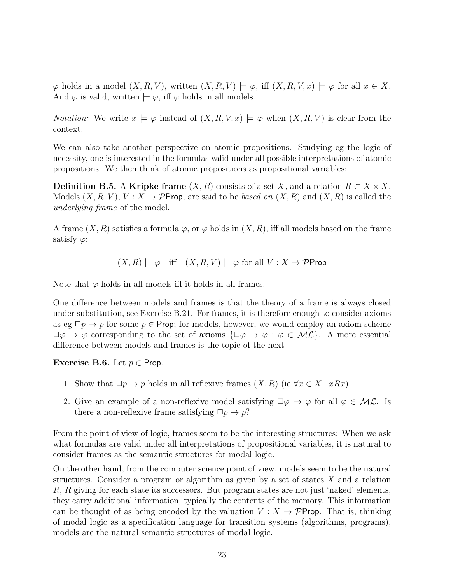$\varphi$  holds in a model  $(X, R, V)$ , written  $(X, R, V) \models \varphi$ , iff  $(X, R, V, x) \models \varphi$  for all  $x \in X$ . And  $\varphi$  is valid, written  $\models \varphi$ , iff  $\varphi$  holds in all models.

*Notation:* We write  $x \models \varphi$  instead of  $(X, R, V, x) \models \varphi$  when  $(X, R, V)$  is clear from the context.

We can also take another perspective on atomic propositions. Studying eg the logic of necessity, one is interested in the formulas valid under all possible interpretations of atomic propositions. We then think of atomic propositions as propositional variables:

**Definition B.5.** A Kripke frame  $(X, R)$  consists of a set X, and a relation  $R \subset X \times X$ . Models  $(X, R, V)$ ,  $V: X \to \mathcal{P}$ Prop, are said to be *based on*  $(X, R)$  and  $(X, R)$  is called the underlying frame of the model.

A frame  $(X, R)$  satisfies a formula  $\varphi$ , or  $\varphi$  holds in  $(X, R)$ , iff all models based on the frame satisfy  $\varphi$ :

 $(X, R) \models \varphi$  iff  $(X, R, V) \models \varphi$  for all  $V : X \rightarrow \mathcal{P}$ Prop

Note that  $\varphi$  holds in all models iff it holds in all frames.

One difference between models and frames is that the theory of a frame is always closed under substitution, see Exercise B.21. For frames, it is therefore enough to consider axioms as eg  $\Box p \rightarrow p$  for some  $p \in$  Prop; for models, however, we would employ an axiom scheme  $\Box \varphi \rightarrow \varphi$  corresponding to the set of axioms  $\{\Box \varphi \rightarrow \varphi : \varphi \in \mathcal{ML}\}\$ . A more essential difference between models and frames is the topic of the next

Exercise B.6. Let  $p \in$  Prop.

- 1. Show that  $\Box p \rightarrow p$  holds in all reflexive frames  $(X, R)$  (ie  $\forall x \in X$  .  $xRx$ ).
- 2. Give an example of a non-reflexive model satisfying  $\Box \varphi \rightarrow \varphi$  for all  $\varphi \in M\mathcal{L}$ . Is there a non-reflexive frame satisfying  $\Box p \rightarrow p$ ?

From the point of view of logic, frames seem to be the interesting structures: When we ask what formulas are valid under all interpretations of propositional variables, it is natural to consider frames as the semantic structures for modal logic.

On the other hand, from the computer science point of view, models seem to be the natural structures. Consider a program or algorithm as given by a set of states X and a relation R, R giving for each state its successors. But program states are not just 'naked' elements, they carry additional information, typically the contents of the memory. This information can be thought of as being encoded by the valuation  $V : X \rightarrow \mathcal{P}$ Prop. That is, thinking of modal logic as a specification language for transition systems (algorithms, programs), models are the natural semantic structures of modal logic.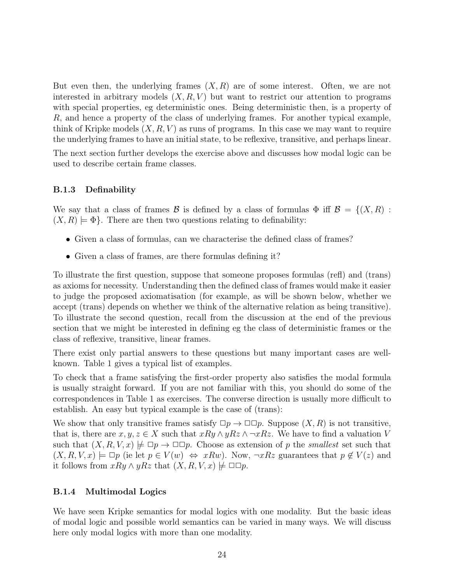But even then, the underlying frames  $(X, R)$  are of some interest. Often, we are not interested in arbitrary models  $(X, R, V)$  but want to restrict our attention to programs with special properties, eg deterministic ones. Being deterministic then, is a property of R, and hence a property of the class of underlying frames. For another typical example, think of Kripke models  $(X, R, V)$  as runs of programs. In this case we may want to require the underlying frames to have an initial state, to be reflexive, transitive, and perhaps linear.

The next section further develops the exercise above and discusses how modal logic can be used to describe certain frame classes.

#### B.1.3 Definability

We say that a class of frames B is defined by a class of formulas  $\Phi$  iff  $\mathcal{B} = \{(X,R) :$  $(X, R) \models \Phi$ . There are then two questions relating to definability:

- Given a class of formulas, can we characterise the defined class of frames?
- Given a class of frames, are there formulas defining it?

To illustrate the first question, suppose that someone proposes formulas (refl) and (trans) as axioms for necessity. Understanding then the defined class of frames would make it easier to judge the proposed axiomatisation (for example, as will be shown below, whether we accept (trans) depends on whether we think of the alternative relation as being transitive). To illustrate the second question, recall from the discussion at the end of the previous section that we might be interested in defining eg the class of deterministic frames or the class of reflexive, transitive, linear frames.

There exist only partial answers to these questions but many important cases are wellknown. Table 1 gives a typical list of examples.

To check that a frame satisfying the first-order property also satisfies the modal formula is usually straight forward. If you are not familiar with this, you should do some of the correspondences in Table 1 as exercises. The converse direction is usually more difficult to establish. An easy but typical example is the case of (trans):

We show that only transitive frames satisfy  $\Box p \rightarrow \Box \Box p$ . Suppose  $(X, R)$  is not transitive, that is, there are  $x, y, z \in X$  such that  $xRy \wedge yRz \wedge \neg xRz$ . We have to find a valuation V such that  $(X, R, V, x) \not\models \Box p \rightarrow \Box \Box p$ . Choose as extension of p the *smallest* set such that  $(X, R, V, x) \models \Box p$  (ie let  $p \in V(w) \Leftrightarrow xRw$ ). Now,  $\neg xRz$  guarantees that  $p \notin V(z)$  and it follows from  $xRy \wedge yRz$  that  $(X, R, V, x) \not\models \Box \Box p$ .

#### B.1.4 Multimodal Logics

We have seen Kripke semantics for modal logics with one modality. But the basic ideas of modal logic and possible world semantics can be varied in many ways. We will discuss here only modal logics with more than one modality.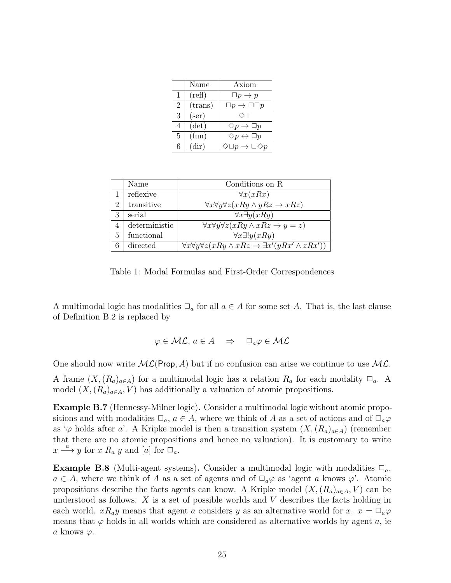|              | Name            | Axiom                                         |
|--------------|-----------------|-----------------------------------------------|
| $\mathbf{1}$ | $(\text{refl})$ | $\Box p \rightarrow p$                        |
| 2            | ${\rm (trans)}$ | $\Box p \rightarrow \Box \Box p$              |
| 3            | $(\text{ser})$  | ◇                                             |
| 4            | $(\det)$        | $\Diamond p \rightarrow \Box p$               |
| 5            | (fun)           | $\Diamond p \leftrightarrow \Box p$           |
| 6            | (dir)           | $\Diamond \Box p \rightarrow \Box \Diamond p$ |

|                | Name          | Conditions on R                                                                                  |
|----------------|---------------|--------------------------------------------------------------------------------------------------|
|                | reflexive     | $\forall x(xRx)$                                                                                 |
| $\overline{2}$ | transitive    | $\forall x \forall y \forall z (x R y \land y R z \rightarrow x R z)$                            |
| 3              | serial        | $\forall x \exists y (x R y)$                                                                    |
| $\overline{4}$ | deterministic | $\forall x \forall y \forall z (x R y \land x R z \rightarrow y = z)$                            |
| 5              | functional    | $\forall x \exists! y (x R y)$                                                                   |
| 6              | directed      | $\forall x \forall y \forall z (x R y \land x R z \rightarrow \exists x' (y R x' \land z R x'))$ |

Table 1: Modal Formulas and First-Order Correspondences

A multimodal logic has modalities  $\Box_a$  for all  $a \in A$  for some set A. That is, the last clause of Definition B.2 is replaced by

$$
\varphi \in \mathcal{ML}, \, a \in A \quad \Rightarrow \quad \Box_a \varphi \in \mathcal{ML}
$$

One should now write  $ML(Prop, A)$  but if no confusion can arise we continue to use  $ML$ .

A frame  $(X,(R_a)_{a\in A})$  for a multimodal logic has a relation  $R_a$  for each modality  $\Box_a$ . A model  $(X,(R_a)_{a\in A}, V)$  has additionally a valuation of atomic propositions.

Example B.7 (Hennessy-Milner logic). Consider a multimodal logic without atomic propositions and with modalities  $\Box_a$ ,  $a \in A$ , where we think of A as a set of actions and of  $\Box_a \varphi$ as  $\varphi$  holds after a'. A Kripke model is then a transition system  $(X,(R_a)_{a\in A})$  (remember that there are no atomic propositions and hence no valuation). It is customary to write  $x \stackrel{a}{\longrightarrow} y$  for  $x R_a y$  and  $[a]$  for  $\square_a$ .

**Example B.8** (Multi-agent systems). Consider a multimodal logic with modalities  $\Box_a$ ,  $a \in A$ , where we think of A as a set of agents and of  $\Box_a \varphi$  as 'agent a knows  $\varphi'$ . Atomic propositions describe the facts agents can know. A Kripke model  $(X,(R_a)_{a\in A}, V)$  can be understood as follows.  $X$  is a set of possible worlds and  $V$  describes the facts holding in each world.  $xR_ay$  means that agent a considers y as an alternative world for  $x.$   $x \models \Box_a \varphi$ means that  $\varphi$  holds in all worlds which are considered as alternative worlds by agent a, ie a knows  $\varphi$ .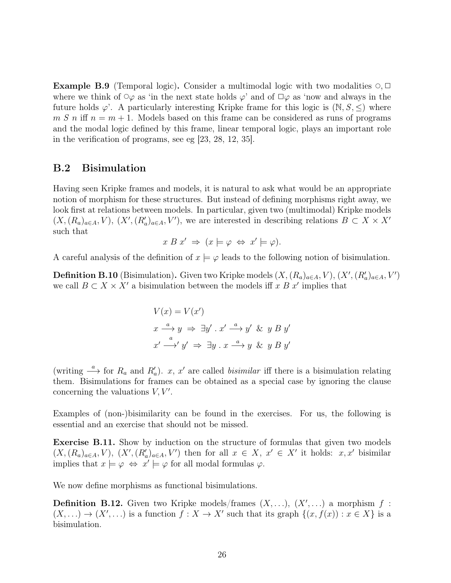**Example B.9** (Temporal logic). Consider a multimodal logic with two modalities  $\circ$ ,  $\Box$ where we think of  $\circ\varphi$  as 'in the next state holds  $\varphi$ ' and of  $\Box\varphi$  as 'now and always in the future holds  $\varphi'$ . A particularly interesting Kripke frame for this logic is  $(N, S, \leq)$  where  $m S n$  iff  $n = m + 1$ . Models based on this frame can be considered as runs of programs and the modal logic defined by this frame, linear temporal logic, plays an important role in the verification of programs, see eg [23, 28, 12, 35].

### B.2 Bisimulation

Having seen Kripke frames and models, it is natural to ask what would be an appropriate notion of morphism for these structures. But instead of defining morphisms right away, we look first at relations between models. In particular, given two (multimodal) Kripke models  $(X,(R_a)_{a\in A},V), (X',(R'_a)_{a\in A},V')$ , we are interested in describing relations  $B\subset X\times X'$ such that

$$
x B x' \Rightarrow (x \models \varphi \Leftrightarrow x' \models \varphi).
$$

A careful analysis of the definition of  $x \models \varphi$  leads to the following notion of bisimulation.

**Definition B.10** (Bisimulation). Given two Kripke models  $(X,(R_a)_{a\in A},V), (X',(R'_a)_{a\in A},V')$ we call  $B \subset X \times X'$  a bisimulation between the models iff x B x' implies that

$$
V(x) = V(x')
$$
  

$$
x \xrightarrow{a} y \Rightarrow \exists y' \cdot x' \xrightarrow{a} y' \& y B y'
$$
  

$$
x' \xrightarrow{a} y' \Rightarrow \exists y \cdot x \xrightarrow{a} y \& y B y'
$$

(writing  $\stackrel{a}{\longrightarrow}$  for  $R_a$  and  $R'_a$ ). x, x' are called *bisimilar* iff there is a bisimulation relating them. Bisimulations for frames can be obtained as a special case by ignoring the clause concerning the valuations  $V, V'$ .

Examples of (non-)bisimilarity can be found in the exercises. For us, the following is essential and an exercise that should not be missed.

Exercise B.11. Show by induction on the structure of formulas that given two models  $(X,(R_a)_{a\in A},V), (X',(R'_a)_{a\in A},V')$  then for all  $x \in X, x' \in X'$  it holds:  $x,x'$  bisimilar implies that  $x \models \varphi \Leftrightarrow x' \models \varphi$  for all modal formulas  $\varphi$ .

We now define morphisms as functional bisimulations.

**Definition B.12.** Given two Kripke models/frames  $(X, \ldots), (X', \ldots)$  a morphism  $f$ :  $(X, \ldots) \to (X', \ldots)$  is a function  $f : X \to X'$  such that its graph  $\{(x, f(x)) : x \in X\}$  is a bisimulation.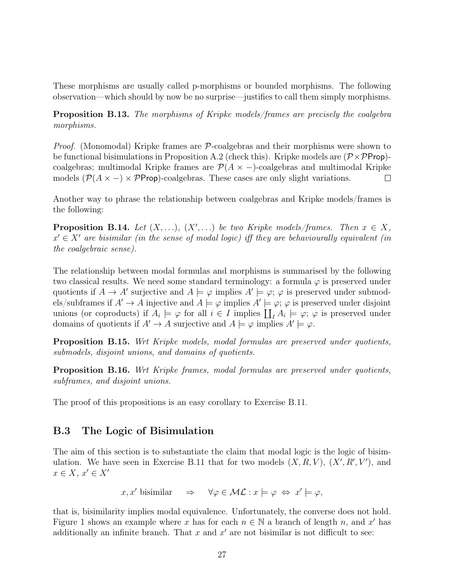These morphisms are usually called p-morphisms or bounded morphisms. The following observation—which should by now be no surprise—justifies to call them simply morphisms.

Proposition B.13. The morphisms of Kripke models/frames are precisely the coalgebra morphisms.

*Proof.* (Monomodal) Kripke frames are  $P$ -coalgebras and their morphisms were shown to be functional bisimulations in Proposition A.2 (check this). Kripke models are  $(\mathcal{P} \times \mathcal{P}$ Prop)coalgebras; multimodal Kripke frames are  $\mathcal{P}(A \times -)$ -coalgebras and multimodal Kripke models  $(\mathcal{P}(A \times -) \times \mathcal{P}$ Prop)-coalgebras. These cases are only slight variations.  $\Box$ 

Another way to phrase the relationship between coalgebras and Kripke models/frames is the following:

**Proposition B.14.** Let  $(X, \ldots), (X', \ldots)$  be two Kripke models/frames. Then  $x \in X$ ,  $x' \in X'$  are bisimilar (in the sense of modal logic) iff they are behaviourally equivalent (in the coalgebraic sense).

The relationship between modal formulas and morphisms is summarised by the following two classical results. We need some standard terminology: a formula  $\varphi$  is preserved under quotients if  $A \to A'$  surjective and  $A \models \varphi$  implies  $A' \models \varphi$ ;  $\varphi$  is preserved under submodels/subframes if  $A' \to A$  injective and  $A \models \varphi$  implies  $A' \models \varphi$ ;  $\varphi$  is preserved under disjoint unions (or coproducts) if  $A_i \models \varphi$  for all  $i \in I$  implies  $\coprod_I A_i \models \varphi$ ;  $\varphi$  is preserved under domains of quotients if  $A' \to A$  surjective and  $A \models \varphi$  implies  $A' \models \varphi$ .

Proposition B.15. Wrt Kripke models, modal formulas are preserved under quotients, submodels, disjoint unions, and domains of quotients.

Proposition B.16. Wrt Kripke frames, modal formulas are preserved under quotients, subframes, and disjoint unions.

The proof of this propositions is an easy corollary to Exercise B.11.

### B.3 The Logic of Bisimulation

The aim of this section is to substantiate the claim that modal logic is the logic of bisimulation. We have seen in Exercise B.11 that for two models  $(X, R, V)$ ,  $(X', R', V')$ , and  $x \in X, x' \in X'$ 

$$
x, x'
$$
 bisimilar  $\Rightarrow \forall \varphi \in \mathcal{ML} : x \models \varphi \Leftrightarrow x' \models \varphi$ ,

that is, bisimilarity implies modal equivalence. Unfortunately, the converse does not hold. Figure 1 shows an example where x has for each  $n \in \mathbb{N}$  a branch of length n, and x' has additionally an infinite branch. That  $x$  and  $x'$  are not bisimilar is not difficult to see: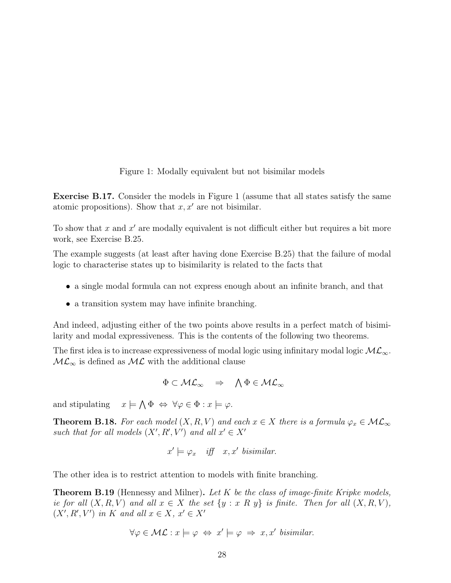Figure 1: Modally equivalent but not bisimilar models

Exercise B.17. Consider the models in Figure 1 (assume that all states satisfy the same atomic propositions). Show that  $x, x'$  are not bisimilar.

To show that x and  $x'$  are modally equivalent is not difficult either but requires a bit more work, see Exercise B.25.

The example suggests (at least after having done Exercise B.25) that the failure of modal logic to characterise states up to bisimilarity is related to the facts that

- a single modal formula can not express enough about an infinite branch, and that
- a transition system may have infinite branching.

And indeed, adjusting either of the two points above results in a perfect match of bisimilarity and modal expressiveness. This is the contents of the following two theorems.

The first idea is to increase expressiveness of modal logic using infinitary modal logic  $\mathcal{ML}_{\infty}$ .  $ML_{\infty}$  is defined as  $ML$  with the additional clause

$$
\Phi\subset\mathcal{ML}_\infty\quad\Rightarrow\quad \bigwedge\Phi\in\mathcal{ML}_\infty
$$

and stipulating  $\bigwedge \Phi \Leftrightarrow \forall \varphi \in \Phi : x \models \varphi.$ 

**Theorem B.18.** For each model  $(X, R, V)$  and each  $x \in X$  there is a formula  $\varphi_x \in \mathcal{ML}_{\infty}$ such that for all models  $(X', R', V')$  and all  $x' \in X'$ 

$$
x' \models \varphi_x
$$
 iff  $x, x'$  bisimilar.

The other idea is to restrict attention to models with finite branching.

**Theorem B.19** (Hennessy and Milner). Let K be the class of image-finite Kripke models, ie for all  $(X, R, V)$  and all  $x \in X$  the set  $\{y : x R y\}$  is finite. Then for all  $(X, R, V)$ ,  $(X', R', V')$  in K and all  $x \in X$ ,  $x' \in X'$ 

$$
\forall \varphi \in \mathcal{ML} : x \models \varphi \Leftrightarrow x' \models \varphi \Rightarrow x, x' \text{ bisimilar.}
$$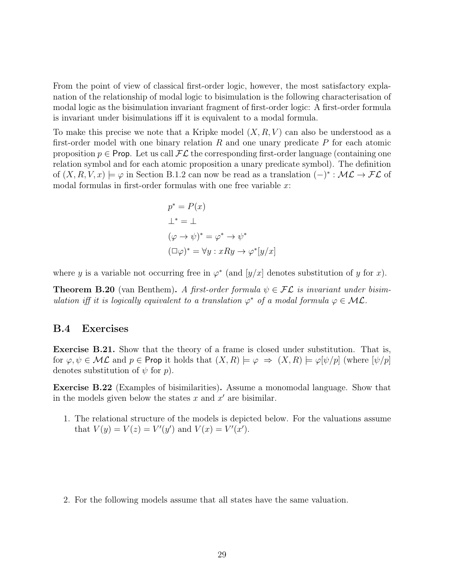From the point of view of classical first-order logic, however, the most satisfactory explanation of the relationship of modal logic to bisimulation is the following characterisation of modal logic as the bisimulation invariant fragment of first-order logic: A first-order formula is invariant under bisimulations iff it is equivalent to a modal formula.

To make this precise we note that a Kripke model  $(X, R, V)$  can also be understood as a first-order model with one binary relation  $R$  and one unary predicate  $P$  for each atomic proposition  $p \in \textsf{Prop}$ . Let us call  $\mathcal{FL}$  the corresponding first-order language (containing one relation symbol and for each atomic proposition a unary predicate symbol). The definition of  $(X, R, V, x) \models \varphi$  in Section B.1.2 can now be read as a translation  $(-)^* : \mathcal{ML} \to \mathcal{FL}$  of modal formulas in first-order formulas with one free variable  $x$ :

$$
p^* = P(x)
$$
  
\n
$$
\perp^* = \perp
$$
  
\n
$$
(\varphi \to \psi)^* = \varphi^* \to \psi^*
$$
  
\n
$$
(\Box \varphi)^* = \forall y : xRy \to \varphi^*[y/x]
$$

where y is a variable not occurring free in  $\varphi^*$  (and  $[y/x]$  denotes substitution of y for x).

**Theorem B.20** (van Benthem). A first-order formula  $\psi \in \mathcal{FL}$  is invariant under bisimulation iff it is logically equivalent to a translation  $\varphi^*$  of a modal formula  $\varphi \in \mathcal{ML}$ .

#### B.4 Exercises

Exercise B.21. Show that the theory of a frame is closed under substitution. That is, for  $\varphi, \psi \in \mathcal{ML}$  and  $p \in \mathsf{Prop}$  it holds that  $(X, R) \models \varphi \Rightarrow (X, R) \models \varphi[\psi/p]$  (where  $[\psi/p]$ denotes substitution of  $\psi$  for  $p$ ).

Exercise B.22 (Examples of bisimilarities). Assume a monomodal language. Show that in the models given below the states  $x$  and  $x'$  are bisimilar.

1. The relational structure of the models is depicted below. For the valuations assume that  $V(y) = V(z) = V'(y')$  and  $V(x) = V'(x')$ .

2. For the following models assume that all states have the same valuation.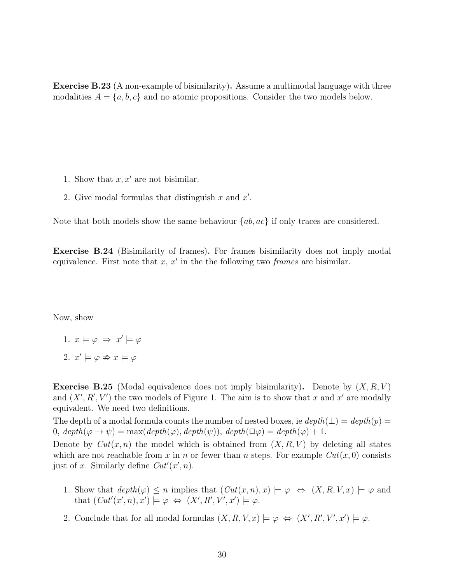Exercise B.23 (A non-example of bisimilarity). Assume a multimodal language with three modalities  $A = \{a, b, c\}$  and no atomic propositions. Consider the two models below.

- 1. Show that  $x, x'$  are not bisimilar.
- 2. Give modal formulas that distinguish  $x$  and  $x'$ .

Note that both models show the same behaviour  $\{ab, ac\}$  if only traces are considered.

Exercise B.24 (Bisimilarity of frames). For frames bisimilarity does not imply modal equivalence. First note that  $x, x'$  in the the following two frames are bisimilar.

Now, show

- 1.  $x \models \varphi \Rightarrow x' \models \varphi$
- 2.  $x' \models \varphi \not\Rightarrow x \models \varphi$

**Exercise B.25** (Modal equivalence does not imply bisimilarity). Denote by  $(X, R, V)$ and  $(X', R', V')$  the two models of Figure 1. The aim is to show that x and x' are modally equivalent. We need two definitions.

The depth of a modal formula counts the number of nested boxes, ie  $depth(\perp) = depth(p)$ 0,  $depth(\varphi \rightarrow \psi) = \max(depth(\varphi), depth(\psi)), depth(\Box \varphi) = depth(\varphi) + 1.$ 

Denote by  $Cut(x, n)$  the model which is obtained from  $(X, R, V)$  by deleting all states which are not reachable from x in n or fewer than n steps. For example  $Cut(x, 0)$  consists just of x. Similarly define  $Cut'(x', n)$ .

- 1. Show that  $depth(\varphi) \leq n$  implies that  $(Cut(x,n), x) \models \varphi \Leftrightarrow (X, R, V, x) \models \varphi$  and that  $(Cut'(x', n), x') \models \varphi \Leftrightarrow (X', R', V', x') \models \varphi$ .
- 2. Conclude that for all modal formulas  $(X, R, V, x) \models \varphi \Leftrightarrow (X', R', V', x') \models \varphi$ .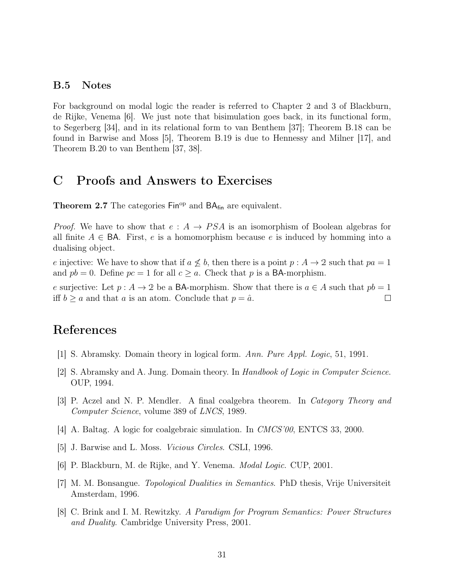#### B.5 Notes

For background on modal logic the reader is referred to Chapter 2 and 3 of Blackburn, de Rijke, Venema [6]. We just note that bisimulation goes back, in its functional form, to Segerberg [34], and in its relational form to van Benthem [37]; Theorem B.18 can be found in Barwise and Moss [5], Theorem B.19 is due to Hennessy and Milner [17], and Theorem B.20 to van Benthem [37, 38].

## C Proofs and Answers to Exercises

**Theorem 2.7** The categories  $\text{Fin}^{\text{op}}$  and  $\text{BA}_{\text{fin}}$  are equivalent.

*Proof.* We have to show that  $e : A \rightarrow PSA$  is an isomorphism of Boolean algebras for all finite  $A \in BA$ . First, e is a homomorphism because e is induced by homming into a dualising object.

e injective: We have to show that if  $a \not\leq b$ , then there is a point  $p : A \rightarrow 2$  such that  $pa = 1$ and  $pb = 0$ . Define  $pc = 1$  for all  $c \geq a$ . Check that p is a BA-morphism.

e surjective: Let  $p : A \to 2$  be a BA-morphism. Show that there is  $a \in A$  such that  $pb = 1$ iff  $b \ge a$  and that a is an atom. Conclude that  $p = \hat{a}$ .  $\Box$ 

## References

- [1] S. Abramsky. Domain theory in logical form. Ann. Pure Appl. Logic, 51, 1991.
- [2] S. Abramsky and A. Jung. Domain theory. In Handbook of Logic in Computer Science. OUP, 1994.
- [3] P. Aczel and N. P. Mendler. A final coalgebra theorem. In Category Theory and Computer Science, volume 389 of LNCS, 1989.
- [4] A. Baltag. A logic for coalgebraic simulation. In CMCS'00, ENTCS 33, 2000.
- [5] J. Barwise and L. Moss. Vicious Circles. CSLI, 1996.
- [6] P. Blackburn, M. de Rijke, and Y. Venema. Modal Logic. CUP, 2001.
- [7] M. M. Bonsangue. Topological Dualities in Semantics. PhD thesis, Vrije Universiteit Amsterdam, 1996.
- [8] C. Brink and I. M. Rewitzky. A Paradigm for Program Semantics: Power Structures and Duality. Cambridge University Press, 2001.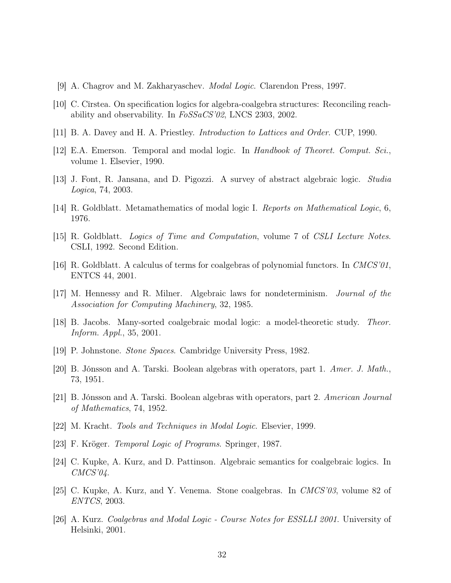- [9] A. Chagrov and M. Zakharyaschev. Modal Logic. Clarendon Press, 1997.
- [10] C. Cîrstea. On specification logics for algebra-coalgebra structures: Reconciling reachability and observability. In  $F \text{o} S \text{S} \text{a} \text{C} \text{S}' \text{0} \text{2}$ , LNCS 2303, 2002.
- [11] B. A. Davey and H. A. Priestley. Introduction to Lattices and Order. CUP, 1990.
- [12] E.A. Emerson. Temporal and modal logic. In Handbook of Theoret. Comput. Sci., volume 1. Elsevier, 1990.
- [13] J. Font, R. Jansana, and D. Pigozzi. A survey of abstract algebraic logic. Studia Logica, 74, 2003.
- [14] R. Goldblatt. Metamathematics of modal logic I. Reports on Mathematical Logic, 6, 1976.
- [15] R. Goldblatt. Logics of Time and Computation, volume 7 of CSLI Lecture Notes. CSLI, 1992. Second Edition.
- [16] R. Goldblatt. A calculus of terms for coalgebras of polynomial functors. In CMCS'01, ENTCS 44, 2001.
- [17] M. Hennessy and R. Milner. Algebraic laws for nondeterminism. Journal of the Association for Computing Machinery, 32, 1985.
- [18] B. Jacobs. Many-sorted coalgebraic modal logic: a model-theoretic study. Theor. Inform. Appl., 35, 2001.
- [19] P. Johnstone. Stone Spaces. Cambridge University Press, 1982.
- [20] B. Jónsson and A. Tarski. Boolean algebras with operators, part 1. Amer. J. Math., 73, 1951.
- [21] B. Jónsson and A. Tarski. Boolean algebras with operators, part 2. American Journal of Mathematics, 74, 1952.
- [22] M. Kracht. Tools and Techniques in Modal Logic. Elsevier, 1999.
- [23] F. Kröger. Temporal Logic of Programs. Springer, 1987.
- [24] C. Kupke, A. Kurz, and D. Pattinson. Algebraic semantics for coalgebraic logics. In  $CMCS'04$ .
- [25] C. Kupke, A. Kurz, and Y. Venema. Stone coalgebras. In CMCS'03, volume 82 of ENTCS, 2003.
- [26] A. Kurz. Coalgebras and Modal Logic Course Notes for ESSLLI 2001. University of Helsinki, 2001.